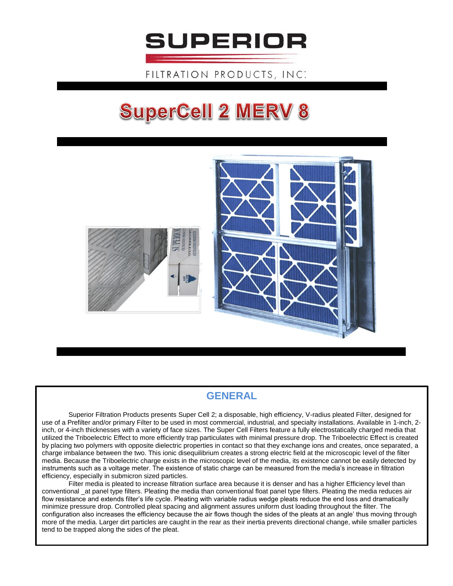

FILTRATION PRODUCTS, INC.

## **SuperCell 2 MERV 8**



## **GENERAL**

Superior Filtration Products presents Super Cell 2; a disposable, high efficiency, V-radius pleated Filter, designed for use of a Prefilter and/or primary Filter to be used in most commercial, industrial, and specialty installations. Available in 1-inch, 2 inch, or 4-inch thicknesses with a variety of face sizes. The Super Cell Filters feature a fully electrostatically charged media that utilized the Triboelectric Effect to more efficiently trap particulates with minimal pressure drop. The Triboelectric Effect is created by placing two polymers with opposite dielectric properties in contact so that they exchange ions and creates, once separated, a charge imbalance between the two. This ionic disequilibrium creates a strong electric field at the microscopic level of the filter media. Because the Triboelectric charge exists in the microscopic level of the media, its existence cannot be easily detected by instruments such as a voltage meter. The existence of static charge can be measured from the media's increase in filtration efficiency, especially in submicron sized particles.

Filter media is pleated to increase filtration surface area because it is denser and has a higher Efficiency level than conventional \_at panel type filters. Pleating the media than conventional float panel type filters. Pleating the media reduces air flow resistance and extends filter's life cycle. Pleating with variable radius wedge pleats reduce the end loss and dramatically minimize pressure drop. Controlled pleat spacing and alignment assures uniform dust loading throughout the filter. The configuration also increases the efficiency because the air flows though the sides of the pleats at an angle' thus moving through more of the media. Larger dirt particles are caught in the rear as their inertia prevents directional change, while smaller particles tend to be trapped along the sides of the pleat.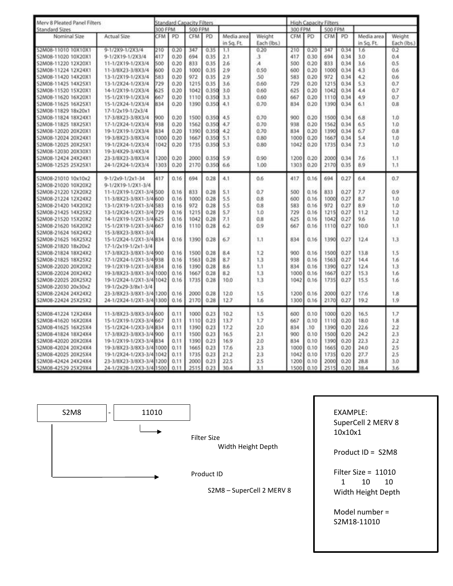| Merv 8 Pleated Panel Filters<br><b>Standard Sizes</b> |                          | <b>Standard Capacity Filters</b> |      |            |       |                          |                       | <b>High Capacity Filters</b> |      |            |      |                          |                       |
|-------------------------------------------------------|--------------------------|----------------------------------|------|------------|-------|--------------------------|-----------------------|------------------------------|------|------------|------|--------------------------|-----------------------|
|                                                       |                          | 300 FPM<br><b>500 FPM</b>        |      |            |       |                          |                       | 300 FPM<br>500 FPM           |      |            |      |                          |                       |
| Nominal Size                                          | Actual Size              | <b>CFM</b>                       | PD   | <b>CFM</b> | PD    | Media area<br>in Sq. Ft. | Weight<br>Each (lbs.) | CFM                          | PD   | <b>CFM</b> | PD   | Media area<br>in Sq. Ft. | Weight<br>Each (lbs.) |
| S2M08-11010 10X10X1                                   | 9-1/2X9-1/2X3/4          | 210                              | 0.20 | 347        | 0.35  | 1.1                      | 0.20                  | 210                          | 0.20 | 347        | 0.34 | 1.6                      | 0.2                   |
| S2M08-11020 10X20X1                                   | 9-1/2X19-1/2X3/4         | 417                              | 0.20 | 694        | 0.35  | 2.1                      | 3                     | 417                          | 0.30 | 694        | 0.34 | 3.0                      | 0.4                   |
| S2M08-11220 12X20X1                                   | 11-1/2X19-1/2X3/4        | 500                              | 0.20 | 833        | 0.35  | 2.6                      | $\lambda$             | 500                          | 0.20 | 833        | 0.34 | 3.6                      | 0.5                   |
| S2M08-11224 12X24X1                                   | 11-3/8X23-3/8X3/4        | 600                              | 0.20 | 1000       | 0.35  | 2.9                      | 0.50                  | 600                          | 0.20 | 1000       | 0.34 | 4.3                      | 0.6                   |
| S2M08-11420 14X20X1                                   | 13-1/2X19-1/2X3/4        | 583                              | 0.20 | 972        | 0.35  | 2.9                      | .50                   | 583                          | 0.20 | 972        | 0.34 | 4.2                      | 0.6                   |
| S2M08-11425 14X25X1                                   | 13-1/2X24-1/2X3/4        | 729                              | 0.20 | 1215       | 0.35  | 3.6                      | 0.60                  | 729                          | 0.20 | 1215       | 0.34 | 5.3                      | 0.7                   |
| S2M08-11520 15X20X1                                   | 14-1/2X19-1/2X3/4        | 625                              | 0.20 | 1042       | 0.350 | 3.0                      | 0.60                  | 625                          | 0.20 | 1042       | 0.34 | 4.4                      | 0.7                   |
| S2M08-11620 16X20X1                                   | 15-1/2X19-1/2X3/4        | 667                              | 0.20 | 1110       | 0.350 | 3.3                      | 0.60                  | 667                          | 0.20 | 1110       | 0.34 | 4.9                      | 0.7                   |
| S2M08-11625 16X25X1                                   | 15-1/2X24-1/2X3/4        | 834                              | 0.20 | 1390       | 0.350 | 4.1                      | 0.70                  | 834                          | 0.20 | 1390       | 0.34 | 6.1                      | 0.8                   |
| S2M08-11829 18x20x1                                   | 17-1/2x19-1/2x3/4        |                                  |      |            |       |                          |                       |                              |      |            |      |                          |                       |
| S2M08-11824 18X24X1                                   | 17-3/8X23-3/8X3/4        | 900                              | 0.20 | 1500       | 0.350 | 4.5                      | 0.70                  | 900                          | 0.20 | 1500       | 0.34 | 6.8                      | 1,0                   |
| S2M08-11825 18X25X1                                   | 17-1/2X24-1/2X3/4        | 938                              | 0.20 | 1562       | 0.350 | 4.7                      | 0.70                  | 938                          | 0.20 | 1562       | 0.34 | 6.5                      | 1.0                   |
| S2M08-12020 20X20X1                                   | 19-1/2X19-1/2X3/4        | 834                              | 0.20 | 1390       | 0.350 | 4.2                      | 0.70                  | 834                          | 0.20 | 1390       | 0.34 | 6.7                      | 0.8                   |
| S2M08-12024 20X24X1                                   | 19-3/8X23-3/8X3/4        | 1000                             | 0.20 | 1667       | 0.350 | 5.1                      | 0.80                  | 1000                         | 0.20 | 1667       | 0.34 | 5.4                      | 1.0                   |
| S2M08-12025 20X25X1                                   | 19-1/2X24-1/2X3/4        | 1042                             | 0.20 | 1735       | 0.350 | 5.3                      | 0.80                  | 1042                         | 0.20 | 1735       | 0.34 | 7.3                      | 1.0                   |
| S2M08-12030 20X30X1                                   | 19-3/4X29-3/4X3/4        |                                  |      |            |       |                          |                       |                              |      |            |      |                          |                       |
| S2M08-12424 24X24X1                                   | 23-3/8X23-3/8X3/4        | 1200                             | 0.20 | 2000       | 0.350 | 5.9                      | 0.90                  | 1200                         | 0.20 | 2000       | 0.34 | 7.6                      | 1.1                   |
| S2M08-12525 25X25X1                                   | 24-1/2X24-1/2X3/4        | 1303                             | 0.20 | 2170       | 0.350 | 6.6                      | 1.00                  | 1303                         | 0.20 | 2170       | 0.35 | 8.9                      | 1.1                   |
| S2M08-21010 10x10x2                                   | 9-1/2x9-1/2x1-34         | 417                              | 0.16 | 694        | 0.28  | 4.1                      | 0.6                   | 417                          | 0.16 | 694        | 0.27 | 6.4                      | 0.7                   |
| S2M08-21020 10X20X2                                   | 9-1/2X19-1/2X1-3/4       |                                  |      |            |       |                          |                       |                              |      |            |      |                          |                       |
| S2M08-21220 12X20X2                                   | 11-1/2X19-1/2X1-3/4 500  |                                  | 0.16 | 833        | 0.28  | 5.1                      | 0.7                   | 500                          | 0.16 | 833        | 0.27 | 7.7                      | 0.9                   |
| S2M08-21224 12X24X2                                   | 11-3/8X23-3/8X1-3/4 600  |                                  | 0.16 | 1000       | 0.28  | 5.5                      | 0.8                   | 600                          | 0.16 | 1000       | 0.27 | 8.7                      | 1.0                   |
| S2M08-21420 14X20X2                                   | 13-1/2X19-1/2X1-3/4583   |                                  | 0.16 | 972        | 0.28  | 5.5                      | 0.8                   | 583                          | 0.16 | 972        | 0.27 | 8.9                      | 1.0                   |
| S2M08-21425 14X25X2                                   | 13-1/2X24-1/2X1-3/4729   |                                  | 0.16 | 1215       | 0.28  | 5.7                      | 1.0                   | 729                          | 0.16 | 1215       | 0.27 | 11.2                     | 1.2                   |
| S2M08-21520 15X20X2                                   | 14-1/2X19-1/2X1-3/4 625  |                                  | 0.16 | 1042       | 0.28  | 7.1                      | 0.8                   | 625                          | 0.16 | 1042       | 0.27 | 9.6                      | 1.0                   |
| S2M08-21620 16X20X2                                   | 15-1/2X19-1/2X1-3/4 667  |                                  | 0.16 | 1110       | 0.28  | 6.2                      | 0.9                   | 667                          | 0.16 | 1110       | 0.27 | 10.0                     | 1.1                   |
| S2M08-21624 16X24X2                                   | 15-3/8X23-3/8X1-3/4      |                                  |      |            |       |                          |                       |                              |      |            |      |                          |                       |
| S2M08-21625 16X25X2                                   | 15-1/2X24-1/2X1-3/4834   |                                  | 0.16 | 1390       | 0.28  | 6.7                      | 1.1                   | 834                          | 0.16 | 1390       | 0.27 | 12.4                     | 1.3                   |
| S2M08-21820 18x20x2                                   | 17-1/2x19-1/2x1-3/4      |                                  |      |            |       |                          |                       |                              |      |            |      |                          |                       |
| S2M08-21824 18X24X2                                   | 17-3/8X23-3/8X1-3/4 900  |                                  | 0.16 | 1500       | 0.28  | 8.4                      | 1.2                   | 900                          | 0.16 | 1500       | 0.27 | 13.8                     | 1.5                   |
| S2M08-21825 18X25X2                                   | 17-1/2X24-1/2X1-3/45938  |                                  | 0.16 | 1563       | 0.28  | 8.7                      | 1.3                   | 938                          | 0.16 | 1563       | 0.27 | 14.4                     | 1.6                   |
| S2M08-22020 20X20X2                                   | 19-1/2X19-1/2X1-3/4834   |                                  | 0.16 | 1390       | 0.28  | 8.6                      | 1.1                   | 834                          | 0.16 | 1390       | 0.27 | 12.4                     | 1.3                   |
| S2M08-22024 20X24X2                                   | 19-3/8X23-3/8X1-3/4 1000 |                                  | 0.16 | 1667       | 0.28  | 8.2                      | 13                    | 1000                         | 0.16 | 1667       | 0.27 | 15.3                     | 1.6                   |
| S2M08-22025 20X25X2                                   | 19-1/2X24-1/2X1-3/41042  |                                  | 0.16 | 1735       | 0.28  | 10.0                     | 1.3                   | 1042                         | 0.16 | 1735       | 0.27 | 15.5                     | 1.6                   |
| S2M08-22030 20x30x2                                   | 19-1/2x29-3/8x1-3/4      |                                  |      |            |       |                          |                       |                              |      |            |      |                          |                       |
| S2M08-22424 24X24X2                                   | 23-3/8X23-3/8X1-3/4 1200 |                                  | 0.16 | 2000       | 0.28  | 12.0                     | 1.5                   | 1200                         | 0.16 | 2000       | 0.27 | 17.6                     | 1.8                   |
| S2M08-22424 25X25X2                                   | 24-1/2X24-1/2X1-3/4 1300 |                                  | 0.16 | 2170       | 0.28  | 12.7                     | 1.6                   | 1300                         | 0.16 | 2170       | 0.27 | 19.2                     | 1.9                   |
| S2M08-41224 12X24X4                                   | 11-3/8X23-3/8X3-3/4 600  |                                  | 0.11 | 1000       | 0.23  | 10.2                     | 1.5                   | 600                          | 0.10 | 1000       | 0.20 | 16.5                     | 1.7                   |
| S2M08-41620 16X20X4                                   | 15-1/2X19-1/2X3-3/4/667  |                                  | 0.11 | 1110       | 0.23  | 13.7                     | 1.7                   | 667                          | 0.10 | 1110       | 0.20 | 18.0                     | 1.8                   |
| S2M08-41625 16X25X4                                   | 15-1/2X24-1/2X3-3/41834  |                                  | 0.11 | 1390       | 0.23  | 17.2                     | 2.0                   | 834                          | .10  | 1390       | 0.20 | 22.6                     | 2.2                   |
| S2M08-41824 18X24X4                                   | 17-3/8X23-3/8X3-3/41900  |                                  | 0.11 | 1500       | 0.23  | 16.5                     | 2.1                   | 900                          | 0.10 | 1500       | 0.20 | 24.2                     | 2.3                   |
| S2M08-42020 20X20X4                                   | 19-1/2X19-1/2X3-3/4834   |                                  | 0.11 | 1390       | 0.23  | 16.9                     | 2.0                   | 834                          | 0.10 | 1390       | 0.20 | 22.3                     | 2.2                   |
| S2M08-42024 20X24X4                                   | 19-3/8X23-3/8X3-3/4 1000 |                                  | 0.11 | 1665       | 0.23  | 17.6                     | 2.3                   | 1000                         | 0.10 | 1665       | 0.20 | 24.0                     | 2.5                   |
| S2M08-42025 20X25X4                                   | 19-1/2X24-1/2X3-3/41042  |                                  | 0.11 | 1735       | 0.23  | 21.2                     | 2.3                   | 1042                         | 0.10 | 1735       | 0.20 | 27.7                     | 2.5                   |
| S2M08-42424 24X24X4                                   | 23-3/8X23-3/8X3-3/411200 |                                  | 0.11 | 2000       | 0.23  | 22.5                     | 2.5                   | 1200                         | 0.10 | 2000       | 0.20 | 28.8                     | 3.0                   |
| S2M08-42529 25X29X4                                   | 24-1/2X28-1/2X3-3/41500  |                                  | 0.11 | 2515       | 0.23  | 30.4                     | 3.1                   | 1500                         | 0.10 | 2515       | 0.20 | 38.4                     | 3.6                   |



Filter Size Width Height Depth

Product ID

S2M8 – SuperCell 2 MERV 8

SuperCell 2 MERV 8 10x10x1

Product ID = S2M8

Filter Size = 11010 1 10 10 Width Height Depth

Model number = S2M18-11010